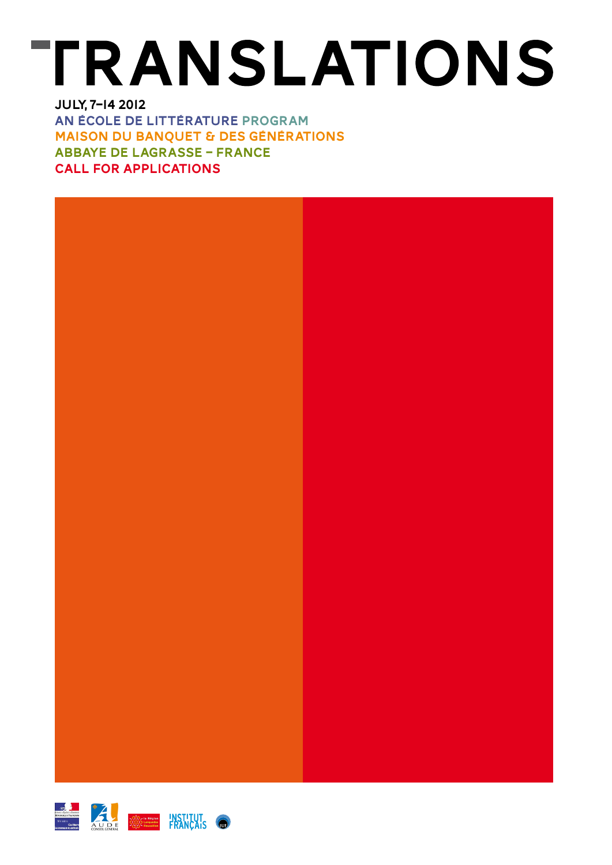# **TRANSLATIONS** July, 7–14 2012

an école de littérature program Maison du Banquet & des générations Abbaye de Lagrasse – France Call for applications



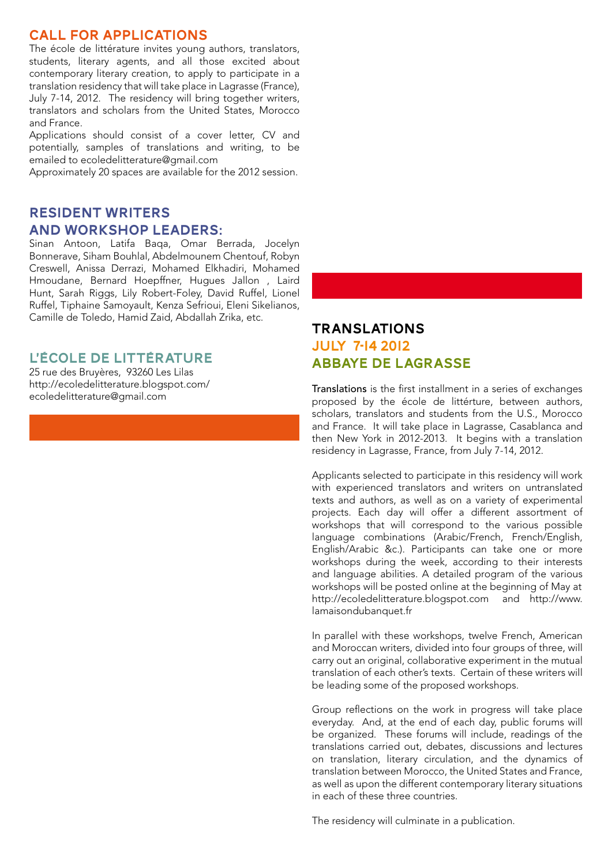## Call for applications

The école de littérature invites young authors, translators, students, literary agents, and all those excited about contemporary literary creation, to apply to participate in a translation residency that will take place in Lagrasse (France), July 7-14, 2012. The residency will bring together writers, translators and scholars from the United States, Morocco and France.

Applications should consist of a cover letter, CV and potentially, samples of translations and writing, to be emailed to ecoledelitterature@gmail.com

Approximately 20 spaces are available for the 2012 session.

## Resident writers and workshop leaders:

Sinan Antoon, Latifa Baqa, Omar Berrada, Jocelyn Bonnerave, Siham Bouhlal, Abdelmounem Chentouf, Robyn Creswell, Anissa Derrazi, Mohamed Elkhadiri, Mohamed Hmoudane, Bernard Hoepffner, Hugues Jallon , Laird Hunt, Sarah Riggs, Lily Robert-Foley, David Ruffel, Lionel Ruffel, Tiphaine Samoyault, Kenza Sefrioui, Eleni Sikelianos, Camille de Toledo, Hamid Zaid, Abdallah Zrika, etc.

## L'ÉCOLE DE LITTÉRATURE

25 rue des Bruyères, 93260 Les Lilas http://ecoledelitterature.blogspot.com/ ecoledelitterature@gmail.com

# TRANSLATIONS July 7-14 2012 Abbaye de Lagrasse

Translations is the first installment in a series of exchanges proposed by the école de littérture, between authors, scholars, translators and students from the U.S., Morocco and France. It will take place in Lagrasse, Casablanca and then New York in 2012-2013. It begins with a translation residency in Lagrasse, France, from July 7-14, 2012.

Applicants selected to participate in this residency will work with experienced translators and writers on untranslated texts and authors, as well as on a variety of experimental projects. Each day will offer a different assortment of workshops that will correspond to the various possible language combinations (Arabic/French, French/English, English/Arabic &c.). Participants can take one or more workshops during the week, according to their interests and language abilities. A detailed program of the various workshops will be posted online at the beginning of May at http://ecoledelitterature.blogspot.com and http://www. lamaisondubanquet.fr

In parallel with these workshops, twelve French, American and Moroccan writers, divided into four groups of three, will carry out an original, collaborative experiment in the mutual translation of each other's texts. Certain of these writers will be leading some of the proposed workshops.

Group reflections on the work in progress will take place everyday. And, at the end of each day, public forums will be organized. These forums will include, readings of the translations carried out, debates, discussions and lectures on translation, literary circulation, and the dynamics of translation between Morocco, the United States and France, as well as upon the different contemporary literary situations in each of these three countries.

The residency will culminate in a publication.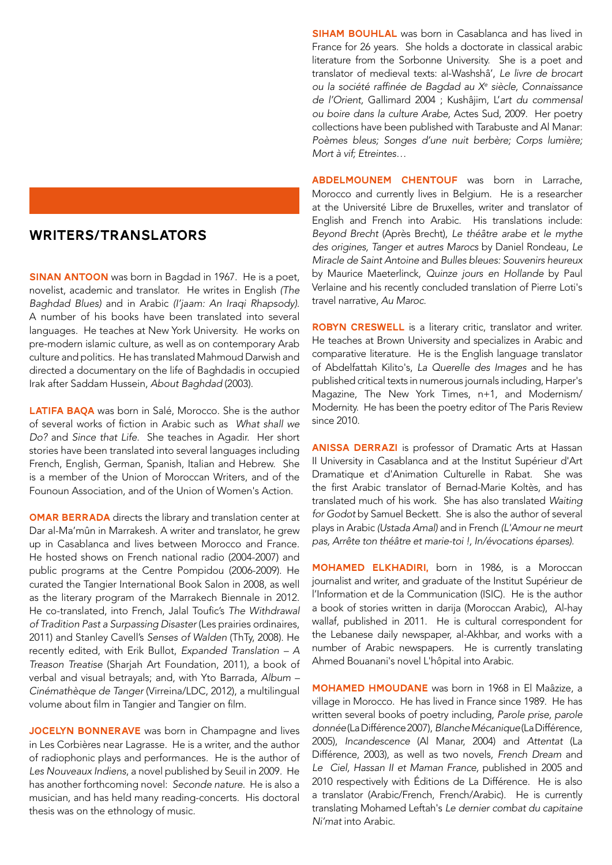## J Writers/Translators

**SINAN ANTOON** was born in Bagdad in 1967. He is a poet, novelist, academic and translator. He writes in English *(The Baghdad Blues)* and in Arabic *(I'jaam: An Iraqi Rhapsody)*. A number of his books have been translated into several languages. He teaches at New York University. He works on pre-modern islamic culture, as well as on contemporary Arab culture and politics. He has translated Mahmoud Darwish and directed a documentary on the life of Baghdadis in occupied Irak after Saddam Hussein, *About Baghdad* (2003).

LATIFA BAQA was born in Salé, Morocco. She is the author of several works of fiction in Arabic such as *What shall we Do?* and *Since that Life*. She teaches in Agadir. Her short stories have been translated into several languages including French, English, German, Spanish, Italian and Hebrew. She is a member of the Union of Moroccan Writers, and of the Founoun Association, and of the Union of Women's Action.

**OMAR BERRADA** directs the library and translation center at Dar al-Ma'mûn in Marrakesh. A writer and translator, he grew up in Casablanca and lives between Morocco and France. He hosted shows on French national radio (2004-2007) and public programs at the Centre Pompidou (2006-2009). He curated the Tangier International Book Salon in 2008, as well as the literary program of the Marrakech Biennale in 2012. He co-translated, into French, Jalal Toufic's *The Withdrawal of Tradition Past a Surpassing Disaster* (Les prairies ordinaires, 2011) and Stanley Cavell's *Senses of Walden* (ThTy, 2008). He recently edited, with Erik Bullot, *Expanded Translation – A Treason Treatise* (Sharjah Art Foundation, 2011), a book of verbal and visual betrayals; and, with Yto Barrada, *Album – Cinémathèque de Tanger* (Virreina/LDC, 2012), a multilingual volume about film in Tangier and Tangier on film.

JOCELYN BONNERAVE was born in Champagne and lives in Les Corbières near Lagrasse. He is a writer, and the author of radiophonic plays and performances. He is the author of *Les Nouveaux Indiens*, a novel published by Seuil in 2009. He has another forthcoming novel: *Seconde nature*. He is also a musician, and has held many reading-concerts. His doctoral thesis was on the ethnology of music.

**SIHAM BOUHLAL** was born in Casablanca and has lived in France for 26 years. She holds a doctorate in classical arabic literature from the Sorbonne University. She is a poet and translator of medieval texts: al-Washshâ', *Le livre de brocart ou la société raffinée de Bagdad au Xe siècle, Connaissance de l'Orient,* Gallimard 2004 ; Kushâjim, L'*art du commensal ou boire dans la culture Arabe,* Actes Sud, 2009. Her poetry collections have been published with Tarabuste and Al Manar: *Poèmes bleus; Songes d'une nuit berbère; Corps lumière; Mort à vif; Etreintes…*

ABDELMOUNEM CHENTOUF was born in Larrache, Morocco and currently lives in Belgium. He is a researcher at the Université Libre de Bruxelles, writer and translator of English and French into Arabic. His translations include: *Beyond Brecht* (Après Brecht), *Le théâtre arabe et le mythe des origines, Tanger et autres Marocs* by Daniel Rondeau, *Le Miracle de Saint Antoine* and *Bulles bleues: Souvenirs heureux* by Maurice Maeterlinck, *Quinze jours en Hollande* by Paul Verlaine and his recently concluded translation of Pierre Loti's travel narrative, *Au Maroc.*

ROBYN CRESWELL is a literary critic, translator and writer. He teaches at Brown University and specializes in Arabic and comparative literature. He is the English language translator of Abdelfattah Kilito's, *La Querelle des Images* and he has published critical texts in numerous journals including, Harper's Magazine, The New York Times, n+1, and Modernism/ Modernity. He has been the poetry editor of The Paris Review since 2010.

ANISSA DERRAZI is professor of Dramatic Arts at Hassan II University in Casablanca and at the Institut Supérieur d'Art Dramatique et d'Animation Culturelle in Rabat. She was the first Arabic translator of Bernad-Marie Koltès, and has translated much of his work. She has also translated *Waiting for Godot* by Samuel Beckett. She is also the author of several plays in Arabic *(Ustada Amal)* and in French *(L'Amour ne meurt pas, Arrête ton théâtre et marie-toi !, In/évocations éparses).*

MOHAMED ELKHADIRI, born in 1986, is a Moroccan journalist and writer, and graduate of the Institut Supérieur de l'Information et de la Communication (ISIC). He is the author a book of stories written in darija (Moroccan Arabic), Al-hay wallaf, published in 2011. He is cultural correspondent for the Lebanese daily newspaper, al-Akhbar, and works with a number of Arabic newspapers. He is currently translating Ahmed Bouanani's novel L'hôpital into Arabic.

MOHAMED HMOUDANE was born in 1968 in El Maâzize, a village in Morocco. He has lived in France since 1989. He has written several books of poetry including, *Parole prise, parole donnée*(La Différence 2007), *Blanche Mécanique*(La Différence, 2005), *Incandescence* (Al Manar, 2004) and *Attentat* (La Différence, 2003), as well as two novels, *French Dream* and *Le Ciel, Hassan II et Maman France,* published in 2005 and 2010 respectively with Éditions de La Différence. He is also a translator (Arabic/French, French/Arabic). He is currently translating Mohamed Leftah's *Le dernier combat du capitaine Ni'mat* into Arabic.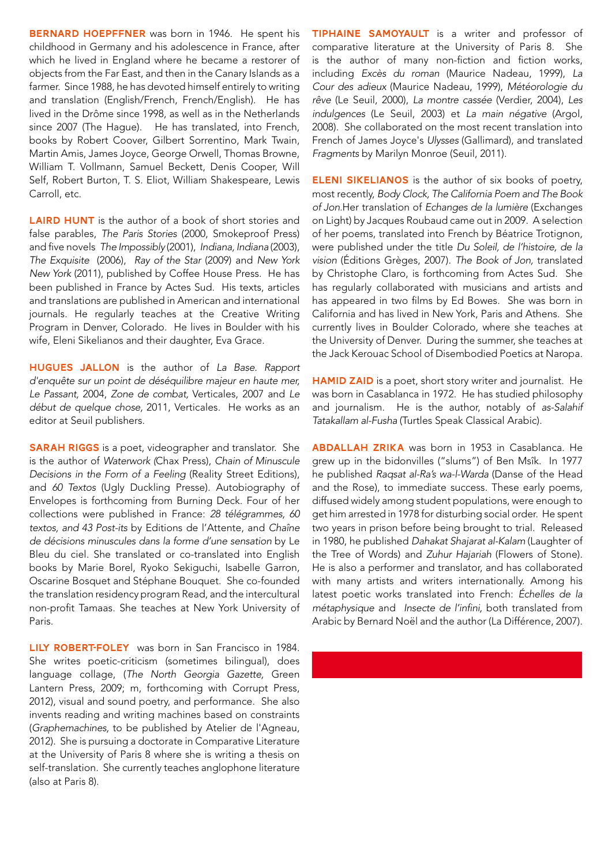BERNARD HOEPFFNER was born in 1946. He spent his childhood in Germany and his adolescence in France, after which he lived in England where he became a restorer of objects from the Far East, and then in the Canary Islands as a farmer. Since 1988, he has devoted himself entirely to writing and translation (English/French, French/English). He has lived in the Drôme since 1998, as well as in the Netherlands since 2007 (The Hague). He has translated, into French, books by Robert Coover, Gilbert Sorrentino, Mark Twain, Martin Amis, James Joyce, George Orwell, Thomas Browne, William T. Vollmann, Samuel Beckett, Denis Cooper, Will Self, Robert Burton, T. S. Eliot, William Shakespeare, Lewis Carroll, etc.

**LAIRD HUNT** is the author of a book of short stories and false parables, *The Paris Stories* (2000, Smokeproof Press) and five novels *The Impossibly* (2001), *Indiana, Indiana* (2003), *The Exquisite* (2006), *Ray of the Star* (2009) and *New York New York* (2011), published by Coffee House Press. He has been published in France by Actes Sud. His texts, articles and translations are published in American and international journals. He regularly teaches at the Creative Writing Program in Denver, Colorado. He lives in Boulder with his wife, Eleni Sikelianos and their daughter, Eva Grace.

Hugues Jallon is the author of *La Base. Rapport d'enquête sur un point de déséquilibre majeur en haute mer, Le Passant,* 2004, *Zone de combat,* Verticales, 2007 and *Le début de quelque chose,* 2011, Verticales. He works as an editor at Seuil publishers.

**SARAH RIGGS** is a poet, videographer and translator. She is the author of *Waterwork (*Chax Press), *Chain of Minuscule Decisions in the Form of a Feeling* (Reality Street Editions), and *60 Textos* (Ugly Duckling Presse). Autobiography of Envelopes is forthcoming from Burning Deck. Four of her collections were published in France: *28 télégrammes, 60 textos, and 43 Post-its* by Editions de l'Attente, and *Chaîne de décisions minuscules dans la forme d'une sensation* by Le Bleu du ciel. She translated or co-translated into English books by Marie Borel, Ryoko Sekiguchi, Isabelle Garron, Oscarine Bosquet and Stéphane Bouquet. She co-founded the translation residency program Read, and the intercultural non-profit Tamaas. She teaches at New York University of Paris.

LILY ROBERT-FOLEY was born in San Francisco in 1984. She writes poetic-criticism (sometimes bilingual), does language collage, (*The North Georgia Gazette,* Green Lantern Press, 2009; m, forthcoming with Corrupt Press, 2012), visual and sound poetry, and performance. She also invents reading and writing machines based on constraints (*Graphemachines,* to be published by Atelier de l'Agneau, 2012). She is pursuing a doctorate in Comparative Literature at the University of Paris 8 where she is writing a thesis on self-translation. She currently teaches anglophone literature (also at Paris 8).

TIPHAINE SAMOYAULT is a writer and professor of comparative literature at the University of Paris 8. She is the author of many non-fiction and fiction works, including *Excès du roman* (Maurice Nadeau, 1999), *La Cour des adieux* (Maurice Nadeau, 1999), *Météorologie du rêve* (Le Seuil, 2000), *La montre cassée* (Verdier, 2004), *Les indulgences* (Le Seuil, 2003) et *La main négative* (Argol, 2008). She collaborated on the most recent translation into French of James Joyce's *Ulysses* (Gallimard), and translated *Fragments* by Marilyn Monroe (Seuil, 2011).

**ELENI SIKELIANOS** is the author of six books of poetry, most recently, *Body Clock, The California Poem and The Book of Jon.*Her translation of *Echanges de la lumière* (Exchanges on Light) by Jacques Roubaud came out in 2009. A selection of her poems, translated into French by Béatrice Trotignon, were published under the title *Du Soleil, de l'histoire, de la vision* (Éditions Grèges, 2007). *The Book of Jon,* translated by Christophe Claro, is forthcoming from Actes Sud. She has regularly collaborated with musicians and artists and has appeared in two films by Ed Bowes. She was born in California and has lived in New York, Paris and Athens. She currently lives in Boulder Colorado, where she teaches at the University of Denver. During the summer, she teaches at the Jack Kerouac School of Disembodied Poetics at Naropa.

HAMID ZAID is a poet, short story writer and journalist. He was born in Casablanca in 1972. He has studied philosophy and journalism. He is the author, notably of *as-Salahif Tatakallam al-Fusha* (Turtles Speak Classical Arabic).

**ABDALLAH ZRIKA** was born in 1953 in Casablanca. He grew up in the bidonvilles ("slums") of Ben Msîk. In 1977 he published *Raqsat al-Ra's wa-l-Warda* (Danse of the Head and the Rose), to immediate success. These early poems, diffused widely among student populations, were enough to get him arrested in 1978 for disturbing social order. He spent two years in prison before being brought to trial. Released in 1980, he published *Dahakat Shajarat al-Kalam* (Laughter of the Tree of Words) and *Zuhur Hajariah* (Flowers of Stone). He is also a performer and translator, and has collaborated with many artists and writers internationally. Among his latest poetic works translated into French: *Échelles de la métaphysique* and *Insecte de l'infini,* both translated from Arabic by Bernard Noël and the author (La Différence, 2007).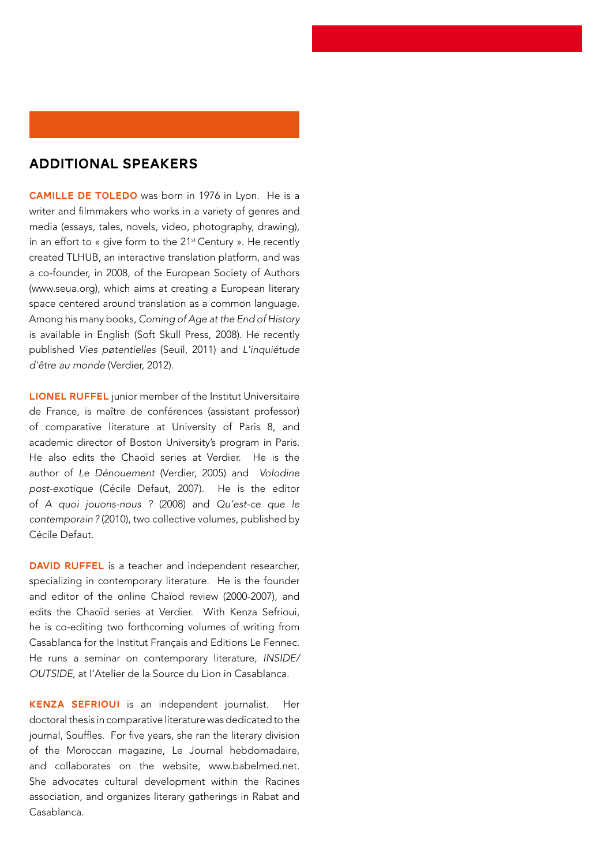## Additional speakers

CAMILLE DE TOLEDO was born in 1976 in Lyon. He is a writer and filmmakers who works in a variety of genres and media (essays, tales, novels, video, photography, drawing), in an effort to « give form to the 21<sup>st</sup> Century ». He recently created TLHUB, an interactive translation platform, and was a co-founder, in 2008, of the European Society of Authors (www.seua.org), which aims at creating a European literary space centered around translation as a common language. Among his many books, *Coming of Age at the End of History*  is available in English (Soft Skull Press, 2008). He recently published *Vies pøtentielles* (Seuil, 2011) and *L'inquiétude d'être au monde* (Verdier, 2012).

LIONEL RUFFEL junior member of the Institut Universitaire de France, is maître de conférences (assistant professor) of comparative literature at University of Paris 8, and academic director of Boston University's program in Paris. He also edits the Chaoïd series at Verdier. He is the author of *Le Dénouement* (Verdier, 2005) and *Volodine post-exotique* (Cécile Defaut, 2007). He is the editor of *A quoi jouons-nous ?* (2008) and *Qu'est-ce que le contemporain?* (2010), two collective volumes, published by Cécile Defaut.

DAVID RUFFEL is a teacher and independent researcher, specializing in contemporary literature. He is the founder and editor of the online Chaïod review (2000-2007), and edits the Chaoïd series at Verdier. With Kenza Sefrioui, he is co-editing two forthcoming volumes of writing from Casablanca for the Institut Français and Editions Le Fennec. He runs a seminar on contemporary literature, *INSIDE/ OUTSIDE,* at l'Atelier de la Source du Lion in Casablanca.

KENZA SEFRIOUI is an independent journalist. Her doctoral thesis in comparative literature was dedicated to the journal, Souffles. For five years, she ran the literary division of the Moroccan magazine, Le Journal hebdomadaire, and collaborates on the website, www.babelmed.net. She advocates cultural development within the Racines association, and organizes literary gatherings in Rabat and Casablanca.